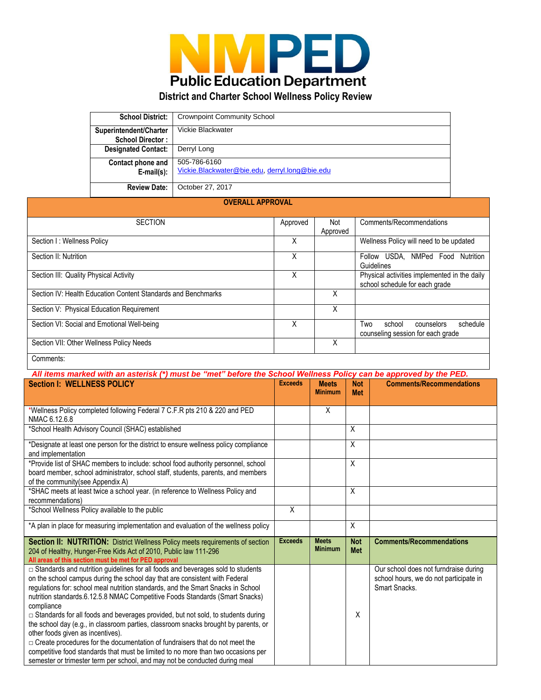

## **District and Charter School Wellness Policy Review**

| <b>School District:</b>                           | <b>Crownpoint Community School</b>                            |
|---------------------------------------------------|---------------------------------------------------------------|
| Superintendent/Charter<br><b>School Director:</b> | Vickie Blackwater                                             |
| <b>Designated Contact:</b>                        | Derryl Long                                                   |
| Contact phone and<br>$E$ -mail $(s)$ :            | 505-786-6160<br>Vickie.Blackwater@bie.edu.derryl.long@bie.edu |
| <b>Review Date:</b>                               | October 27, 2017                                              |

## **OVERALL APPROVAL**

| <b>SECTION</b>                                                |   | Not      | Comments/Recommendations                                                       |
|---------------------------------------------------------------|---|----------|--------------------------------------------------------------------------------|
|                                                               |   | Approved |                                                                                |
| Section I: Wellness Policy                                    | Χ |          | Wellness Policy will need to be updated                                        |
| Section II: Nutrition                                         | Χ |          | USDA. NMPed Food<br>Follow<br>Nutrition<br><b>Guidelines</b>                   |
| Section III: Quality Physical Activity                        |   |          | Physical activities implemented in the daily<br>school schedule for each grade |
| Section IV: Health Education Content Standards and Benchmarks |   | X        |                                                                                |
| Section V: Physical Education Requirement                     |   | X        |                                                                                |
| Section VI: Social and Emotional Well-being                   | X |          | Two<br>school<br>schedule<br>counselors<br>counseling session for each grade   |
| Section VII: Other Wellness Policy Needs                      |   | X        |                                                                                |
| Comments:                                                     |   |          |                                                                                |

## *All items marked with an asterisk (\*) must be "met" before the School Wellness Policy can be approved by the PED.*

| <b>Section I: WELLNESS POLICY</b>                                                                                                                                                                                                                                                                                                                                                                                                                                                                                                                                                                                                                                                                                                                                                                                              | <b>Exceeds</b> | <b>Meets</b><br><b>Minimum</b> | <b>Not</b><br><b>Met</b> | <b>Comments/Recommendations</b>                                                                  |
|--------------------------------------------------------------------------------------------------------------------------------------------------------------------------------------------------------------------------------------------------------------------------------------------------------------------------------------------------------------------------------------------------------------------------------------------------------------------------------------------------------------------------------------------------------------------------------------------------------------------------------------------------------------------------------------------------------------------------------------------------------------------------------------------------------------------------------|----------------|--------------------------------|--------------------------|--------------------------------------------------------------------------------------------------|
| *Wellness Policy completed following Federal 7 C.F.R pts 210 & 220 and PED<br>NMAC 6.12.6.8                                                                                                                                                                                                                                                                                                                                                                                                                                                                                                                                                                                                                                                                                                                                    |                | Χ                              |                          |                                                                                                  |
| *School Health Advisory Council (SHAC) established                                                                                                                                                                                                                                                                                                                                                                                                                                                                                                                                                                                                                                                                                                                                                                             |                |                                | $\sf X$                  |                                                                                                  |
| *Designate at least one person for the district to ensure wellness policy compliance<br>and implementation                                                                                                                                                                                                                                                                                                                                                                                                                                                                                                                                                                                                                                                                                                                     |                |                                | $\sf X$                  |                                                                                                  |
| *Provide list of SHAC members to include: school food authority personnel, school<br>board member, school administrator, school staff, students, parents, and members<br>of the community(see Appendix A)                                                                                                                                                                                                                                                                                                                                                                                                                                                                                                                                                                                                                      |                |                                | $\sf X$                  |                                                                                                  |
| *SHAC meets at least twice a school year. (in reference to Wellness Policy and<br>recommendations)                                                                                                                                                                                                                                                                                                                                                                                                                                                                                                                                                                                                                                                                                                                             |                |                                | X                        |                                                                                                  |
| *School Wellness Policy available to the public                                                                                                                                                                                                                                                                                                                                                                                                                                                                                                                                                                                                                                                                                                                                                                                | X              |                                |                          |                                                                                                  |
| *A plan in place for measuring implementation and evaluation of the wellness policy                                                                                                                                                                                                                                                                                                                                                                                                                                                                                                                                                                                                                                                                                                                                            |                |                                | X                        |                                                                                                  |
| Section II: NUTRITION: District Wellness Policy meets requirements of section<br>204 of Healthy, Hunger-Free Kids Act of 2010, Public law 111-296<br>All areas of this section must be met for PED approval                                                                                                                                                                                                                                                                                                                                                                                                                                                                                                                                                                                                                    | <b>Exceeds</b> | <b>Meets</b><br><b>Minimum</b> | <b>Not</b><br><b>Met</b> | <b>Comments/Recommendations</b>                                                                  |
| □ Standards and nutrition guidelines for all foods and beverages sold to students<br>on the school campus during the school day that are consistent with Federal<br>regulations for: school meal nutrition standards, and the Smart Snacks in School<br>nutrition standards.6.12.5.8 NMAC Competitive Foods Standards (Smart Snacks)<br>compliance<br>□ Standards for all foods and beverages provided, but not sold, to students during<br>the school day (e.g., in classroom parties, classroom snacks brought by parents, or<br>other foods given as incentives).<br>$\Box$ Create procedures for the documentation of fundraisers that do not meet the<br>competitive food standards that must be limited to no more than two occasions per<br>semester or trimester term per school, and may not be conducted during meal |                |                                | X                        | Our school does not furndraise during<br>school hours, we do not participate in<br>Smart Snacks. |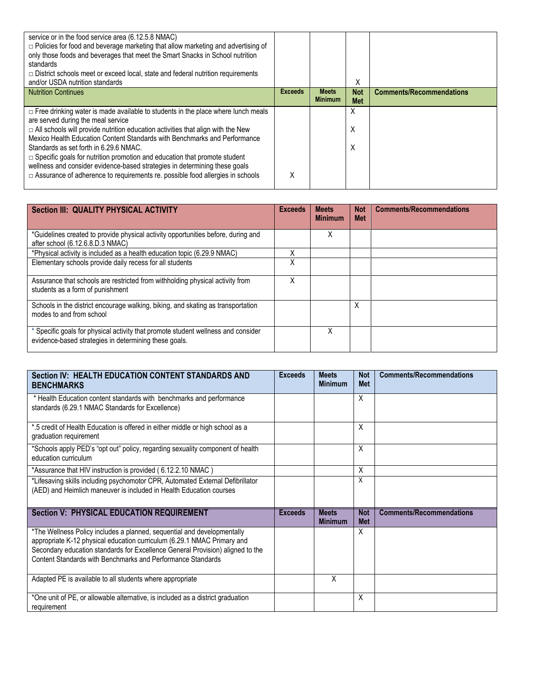| service or in the food service area (6.12.5.8 NMAC)<br>$\Box$ Policies for food and beverage marketing that allow marketing and advertising of<br>only those foods and beverages that meet the Smart Snacks in School nutrition<br>standards<br>$\Box$ District schools meet or exceed local, state and federal nutrition requirements<br>and/or USDA nutrition standards                                                                                                                                                                                                                           |                |                                | Χ                        |                                 |
|-----------------------------------------------------------------------------------------------------------------------------------------------------------------------------------------------------------------------------------------------------------------------------------------------------------------------------------------------------------------------------------------------------------------------------------------------------------------------------------------------------------------------------------------------------------------------------------------------------|----------------|--------------------------------|--------------------------|---------------------------------|
| <b>Nutrition Continues</b>                                                                                                                                                                                                                                                                                                                                                                                                                                                                                                                                                                          | <b>Exceeds</b> | <b>Meets</b><br><b>Minimum</b> | <b>Not</b><br><b>Met</b> | <b>Comments/Recommendations</b> |
| $\Box$ Free drinking water is made available to students in the place where lunch meals<br>are served during the meal service<br>$\Box$ All schools will provide nutrition education activities that align with the New<br>Mexico Health Education Content Standards with Benchmarks and Performance<br>Standards as set forth in 6.29.6 NMAC.<br>$\Box$ Specific goals for nutrition promotion and education that promote student<br>wellness and consider evidence-based strategies in determining these goals<br>□ Assurance of adherence to requirements re. possible food allergies in schools | X              |                                | X<br>Х<br>Х              |                                 |

| Section III: QUALITY PHYSICAL ACTIVITY                                                                                                     |   | <b>Meets</b><br><b>Minimum</b> | <b>Not</b><br><b>Met</b> | <b>Comments/Recommendations</b> |
|--------------------------------------------------------------------------------------------------------------------------------------------|---|--------------------------------|--------------------------|---------------------------------|
| *Guidelines created to provide physical activity opportunities before, during and<br>after school (6.12.6.8.D.3 NMAC)                      |   | Χ                              |                          |                                 |
| *Physical activity is included as a health education topic (6.29.9 NMAC)                                                                   |   |                                |                          |                                 |
| Elementary schools provide daily recess for all students                                                                                   | Χ |                                |                          |                                 |
| Assurance that schools are restricted from withholding physical activity from<br>students as a form of punishment                          | Χ |                                |                          |                                 |
| Schools in the district encourage walking, biking, and skating as transportation<br>modes to and from school                               |   |                                | X                        |                                 |
| * Specific goals for physical activity that promote student wellness and consider<br>evidence-based strategies in determining these goals. |   | Χ                              |                          |                                 |

| Section IV: HEALTH EDUCATION CONTENT STANDARDS AND<br><b>BENCHMARKS</b>                                                                                                                                                                                                                             | <b>Exceeds</b> | <b>Meets</b><br><b>Minimum</b> | <b>Not</b><br><b>Met</b> | <b>Comments/Recommendations</b> |
|-----------------------------------------------------------------------------------------------------------------------------------------------------------------------------------------------------------------------------------------------------------------------------------------------------|----------------|--------------------------------|--------------------------|---------------------------------|
| * Health Education content standards with benchmarks and performance<br>standards (6.29.1 NMAC Standards for Excellence)                                                                                                                                                                            |                |                                | X                        |                                 |
| *.5 credit of Health Education is offered in either middle or high school as a<br>graduation requirement                                                                                                                                                                                            |                |                                | X                        |                                 |
| *Schools apply PED's "opt out" policy, regarding sexuality component of health<br>education curriculum                                                                                                                                                                                              |                |                                | X                        |                                 |
| *Assurance that HIV instruction is provided (6.12.2.10 NMAC)                                                                                                                                                                                                                                        |                |                                | X                        |                                 |
| *Lifesaving skills including psychomotor CPR, Automated External Defibrillator<br>(AED) and Heimlich maneuver is included in Health Education courses                                                                                                                                               |                |                                | X                        |                                 |
| <b>Section V: PHYSICAL EDUCATION REQUIREMENT</b>                                                                                                                                                                                                                                                    | <b>Exceeds</b> | <b>Meets</b><br><b>Minimum</b> | <b>Not</b><br><b>Met</b> | <b>Comments/Recommendations</b> |
| *The Wellness Policy includes a planned, sequential and developmentally<br>appropriate K-12 physical education curriculum (6.29.1 NMAC Primary and<br>Secondary education standards for Excellence General Provision) aligned to the<br>Content Standards with Benchmarks and Performance Standards |                |                                | X                        |                                 |
| Adapted PE is available to all students where appropriate                                                                                                                                                                                                                                           |                | X                              |                          |                                 |
| *One unit of PE, or allowable alternative, is included as a district graduation<br>requirement                                                                                                                                                                                                      |                |                                | X                        |                                 |